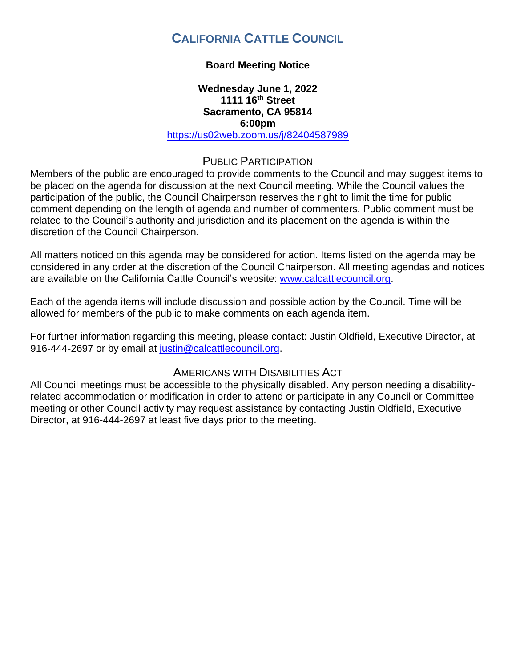# **CALIFORNIA CATTLE COUNCIL**

### **Board Meeting Notice**

## **Wednesday June 1, 2022 1111 16th Street Sacramento, CA 95814 6:00pm**

<https://us02web.zoom.us/j/82404587989>

## PUBLIC PARTICIPATION

Members of the public are encouraged to provide comments to the Council and may suggest items to be placed on the agenda for discussion at the next Council meeting. While the Council values the participation of the public, the Council Chairperson reserves the right to limit the time for public comment depending on the length of agenda and number of commenters. Public comment must be related to the Council's authority and jurisdiction and its placement on the agenda is within the discretion of the Council Chairperson.

All matters noticed on this agenda may be considered for action. Items listed on the agenda may be considered in any order at the discretion of the Council Chairperson. All meeting agendas and notices are available on the California Cattle Council's website: [www.calcattlecouncil.org.](http://www.calcattlecouncil.org/)

Each of the agenda items will include discussion and possible action by the Council. Time will be allowed for members of the public to make comments on each agenda item.

For further information regarding this meeting, please contact: Justin Oldfield, Executive Director, at 916-444-2697 or by email at [justin@calcattlecouncil.org.](mailto:justin@calcattlecouncil.org)

#### AMERICANS WITH DISABILITIES ACT

All Council meetings must be accessible to the physically disabled. Any person needing a disabilityrelated accommodation or modification in order to attend or participate in any Council or Committee meeting or other Council activity may request assistance by contacting Justin Oldfield, Executive Director, at 916-444-2697 at least five days prior to the meeting.